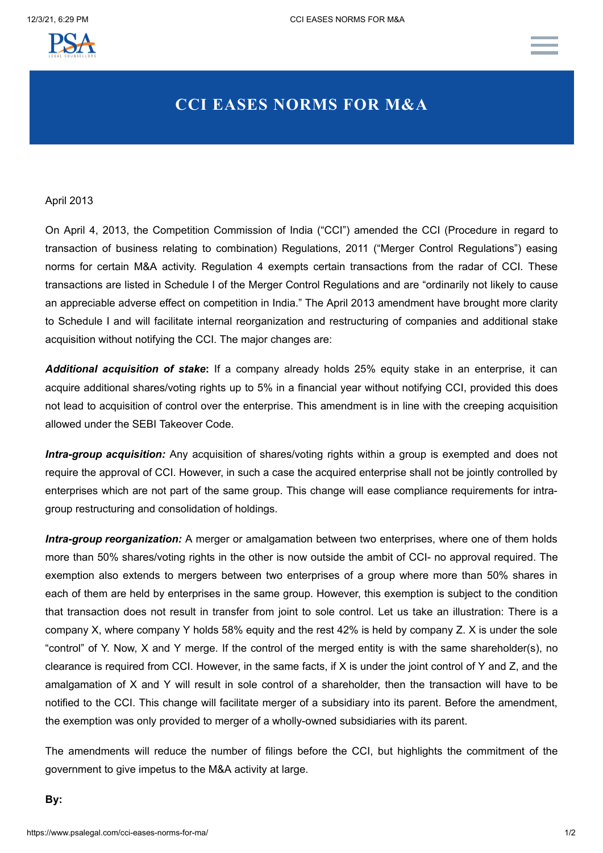

## **CCI EASES NORMS FOR M&A**

## April 2013

On April 4, 2013, the Competition Commission of India ("CCI") amended the CCI (Procedure in regard to transaction of business relating to combination) Regulations, 2011 ("Merger Control Regulations") easing norms for certain M&A activity. Regulation 4 exempts certain transactions from the radar of CCI. These transactions are listed in Schedule I of the Merger Control Regulations and are "ordinarily not likely to cause an appreciable adverse effect on competition in India." The April 2013 amendment have brought more clarity to Schedule I and will facilitate internal reorganization and restructuring of companies and additional stake acquisition without notifying the CCI. The major changes are:

*Additional acquisition of stake***:** If a company already holds 25% equity stake in an enterprise, it can acquire additional shares/voting rights up to 5% in a financial year without notifying CCI, provided this does not lead to acquisition of control over the enterprise. This amendment is in line with the creeping acquisition allowed under the SEBI Takeover Code.

*Intra-group acquisition:* Any acquisition of shares/voting rights within a group is exempted and does not require the approval of CCI. However, in such a case the acquired enterprise shall not be jointly controlled by enterprises which are not part of the same group. This change will ease compliance requirements for intragroup restructuring and consolidation of holdings.

*Intra-group reorganization:* A merger or amalgamation between two enterprises, where one of them holds more than 50% shares/voting rights in the other is now outside the ambit of CCI- no approval required. The exemption also extends to mergers between two enterprises of a group where more than 50% shares in each of them are held by enterprises in the same group. However, this exemption is subject to the condition that transaction does not result in transfer from joint to sole control. Let us take an illustration: There is a company X, where company Y holds 58% equity and the rest 42% is held by company Z. X is under the sole "control" of Y. Now, X and Y merge. If the control of the merged entity is with the same shareholder(s), no clearance is required from CCI. However, in the same facts, if X is under the joint control of Y and Z, and the amalgamation of X and Y will result in sole control of a shareholder, then the transaction will have to be notified to the CCI. This change will facilitate merger of a subsidiary into its parent. Before the amendment, the exemption was only provided to merger of a wholly-owned subsidiaries with its parent.

The amendments will reduce the number of filings before the CCI, but highlights the commitment of the government to give impetus to the M&A activity at large.

**By:**